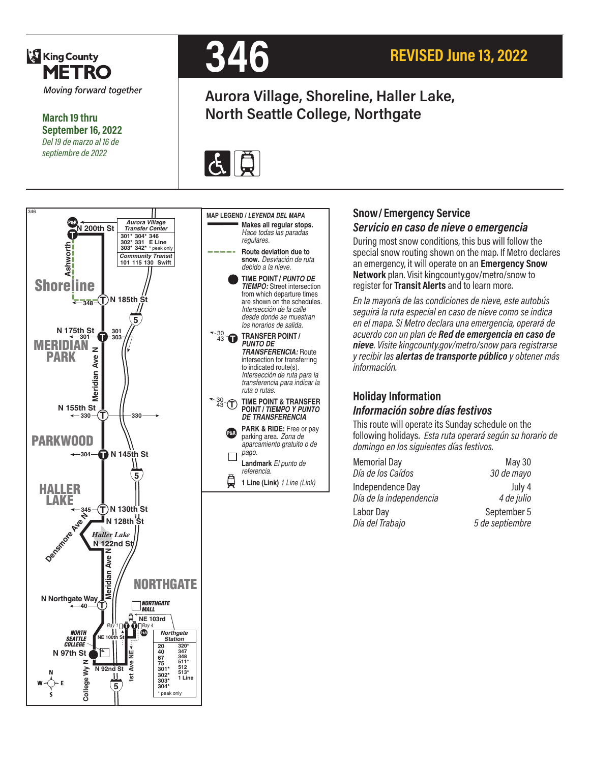

**March 19 thru September 16, 2022** *Del 19 de marzo al 16 de septiembre de 2022*



# **Aurora Village, Shoreline, Haller Lake, North Seattle College, Northgate**







**1 Line (Link)** *1 Line (Link)*

₿

**Snow/ Emergency Service** 

#### *Servicio en caso de nieve o emergencia*

During most snow conditions, this bus will follow the special snow routing shown on the map. If Metro declares an emergency, it will operate on an **Emergency Snow Network** plan. Visit kingcounty.gov/metro/snow to register for **Transit Alerts** and to learn more.

*En la mayoría de las condiciones de nieve, este autobús seguirá la ruta especial en caso de nieve como se indica en el mapa. Si Metro declara una emergencia, operará de acuerdo con un plan de Red de emergencia en caso de nieve. Visite kingcounty.gov/metro/snow para registrarse y recibir las alertas de transporte público y obtener más información.*

### **Holiday Information** *Información sobre días festivos*

This route will operate its Sunday schedule on the following holidays. *Esta ruta operará según su horario de domingo en los siguientes días festivos.*

| <b>Memorial Day</b>     | May 30          |
|-------------------------|-----------------|
| Día de los Caídos       | 30 de mayo      |
| Independence Day        | July 4          |
| Día de la independencia | 4 de julio      |
| Labor Day               | September 5     |
| Día del Trabajo         | 5 de septiembre |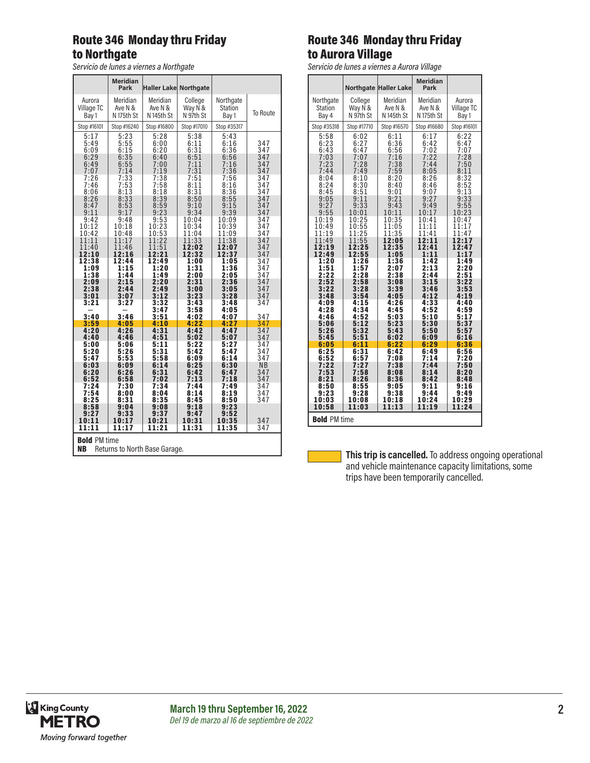# Route 346 Monday thru Friday to Northgate

*Servicio de lunes a viernes a Northgate*

|                                                                   | <b>Meridian</b><br>Park        | <b>Haller Lake Northgate</b>   |                                |                                |                   |
|-------------------------------------------------------------------|--------------------------------|--------------------------------|--------------------------------|--------------------------------|-------------------|
| Aurora                                                            | Meridian                       | Meridian                       | College                        | Northgate                      | <b>To Route</b>   |
| Village TC                                                        | Ave N &                        | Ave N &                        | Way N &                        | <b>Station</b>                 |                   |
| Bay 1                                                             | N 175th St                     | N 145th St                     | N 97th St                      | Bay 1                          |                   |
| Stop #16101                                                       | Stop #16240                    | Stop #16800                    | Stop #17010                    | Stop #35317                    |                   |
| 5:17<br>5:49<br>6:09<br>6:29                                      | 5:23<br>5:55<br>6:15<br>6:35   | 5:28<br>6:00<br>6:20<br>6:40   | 5:38<br>6:11<br>6:31<br>6:51   | 5:43<br>6:16<br>6:36<br>6:56   | 347<br>347<br>347 |
| 6:49                                                              | 6:55                           | 7:00                           | 7:11                           | 7:16                           | 347               |
| 7:07                                                              | 7:14                           | 7:19                           | 7:31                           | 7:36                           | 347               |
| 7:26                                                              | 7:33                           | 7:38                           | 7:51                           | 7:56                           | 347               |
| 7:46                                                              | 7:53                           | 7:58                           | 8:11                           | 8:16                           | 347               |
| 8:06                                                              | 8:13                           | 8:18                           | 8:31                           | 8:36                           | 347               |
| 8:26                                                              | 8:33                           | 8:39                           | 8:50                           | 8:55                           | 347               |
| 8:47                                                              | 8:53                           | 8:59                           | 9:10                           | 9:15                           | 347               |
| 9:11                                                              | 9:17                           | 9:23                           | 9:34                           | 9:39                           | 347               |
| 9:42                                                              | 9:48                           | 9:53                           | 10:04                          | 10:09                          | 347               |
| 10:12                                                             | 10:18                          | 10:23                          | 10:34                          | 10:39                          | 347               |
| 10:42                                                             | 10:48                          | 10:53                          | 11:04                          | 11:09                          | 347               |
| 11:11                                                             | 11:17                          | 11:22                          | 11:33                          | 11:38                          | 347               |
| 11:40                                                             | 11:46                          | 11:51                          | 12:02                          | 12:07                          | 347               |
| 12:10                                                             | 12:16                          | 12:21                          | 12:32                          | 12:37                          | 347               |
| 12:38                                                             | 12:44                          | 12:49                          | 1:00                           | 1:05                           | 347               |
| 1:09                                                              | 1:15                           | 1:20                           | 1:31                           | 1:36                           | 347               |
| 1:38                                                              | 1:44                           | 1:49                           | 2:00                           | 2:05                           | 347               |
| 2:09                                                              | 2:15                           | 2:20                           | 2:31                           | 2:36                           | 347               |
| 2:38                                                              | 2:44                           | 2:49                           | 3:00                           | 3:05                           | 347               |
| 3:01                                                              | 3:07                           | 3:12                           | 3:23                           | 3:28                           | 347               |
| 3:21                                                              | 3:27                           | 3:32<br>3:47                   | 3:43<br>3:58                   | 3:48<br>4:05                   | 347               |
| 3:40                                                              | 3:46                           | 3:51                           | 4:02                           | 4:07                           | 347               |
| 3:59                                                              | 4:05                           | 4:10                           | 4:22                           | 4:27                           | 347               |
| 4:20                                                              | 4:26                           | 4:31                           | 4:42                           | 4:47                           | 347               |
| 4:40                                                              | 4:46                           | 4:51                           | 5:02                           | 5:07                           | 347               |
| 5:00                                                              | 5:06                           | 5:11                           | 5:22                           | 5:27                           | 347               |
| 5:20                                                              | 5:26                           | 5:31                           | 5:42                           | 5:47                           | 347               |
| 5:47                                                              | 5:53                           | 5:58                           | 6:09                           | 6:14                           | 347               |
| 6:03                                                              | 6:09                           | 6:14                           | 6:25                           | 6:30                           | N <sub>B</sub>    |
| 6:20                                                              | 6:26                           | 6:31                           | 6:42                           | 6:47                           | 347               |
| 6:52                                                              | 6:58                           | 7:02                           | 7:13                           | 7:18                           | 347               |
| 7:24                                                              | 7:30                           | 7:34                           | 7:44                           | 7:49                           | 347               |
| 7:54                                                              | 8:00                           | 8:04                           | 8:14                           | 8:19                           | 347               |
| 8:25                                                              | 8:31                           | 8:35                           | 8:45                           | 8:50                           | 347               |
| 8:58<br>9:27<br>10:11<br>11:11                                    | 9:04<br>9:33<br>10:17<br>11:17 | 9:08<br>9:37<br>10:21<br>11:21 | 9:18<br>9:47<br>10:31<br>11:31 | 9:23<br>9:52<br>10:35<br>11:35 | 347<br>347        |
| <b>Bold PM time</b><br><b>NB</b><br>Returns to North Base Garage. |                                |                                |                                |                                |                   |

# Route 346 Monday thru Friday to Aurora Village

*Servicio de lunes a viernes a Aurora Village*

|                              |                              | <b>Northgate Haller Lake</b> | <b>Meridian</b><br>Park      |                              |
|------------------------------|------------------------------|------------------------------|------------------------------|------------------------------|
| Northgate                    | College                      | Meridian                     | Meridian                     | Aurora                       |
| <b>Station</b>               | Way N &                      | Ave N &                      | Ave N &                      | Village TC                   |
| Bay 4                        | N 97th St                    | N <sub>145th</sub> St        | N 175th St                   | Bay 1                        |
| Stop #35318                  | Stop #17710                  | Stop #16570                  | Stop #16680                  | Stop #16101                  |
| 5:58<br>6:23<br>6:43<br>7:03 | 6:02<br>6:27<br>6:47<br>7:07 | 6:11<br>6:36<br>6:56         | 6:17<br>6:42<br>7:02<br>7:22 | 6:22<br>6:47<br>7:07<br>7:28 |
| 7:23                         | 7:28                         | $7:16$<br>$7:38$<br>$7:59$   | 7:44                         | 7:50                         |
| 7:44                         | 7:49                         |                              | 8:05                         | 8:11                         |
| 8:04                         | 8:10                         | 8:20                         | 8:26                         | 8:32                         |
| 8:24                         | 8:30                         | 8:40                         | 8:46                         | 8:52                         |
| 8:45                         | 8:51                         | 9:01                         | 9:07                         | $9:1\bar{3}$                 |
| 9:05                         | 9:11                         | 9:21                         | 9:27                         | 9:33                         |
| 9:27                         | 9:33                         | 9:43                         | 9:49                         | 9:55                         |
| 9:55                         | 10:01                        | 10:11                        | 10:17                        | 10:23                        |
| 10:19                        | 10:25                        | 10:35                        | 10:41                        | 10:47                        |
| 10:49                        | 10:55                        | 11:05                        | 11:11                        | 11:17                        |
| 11:19                        | 11:25                        | 11:35                        | 11:41                        | 11:47                        |
| 11:49                        | 11:55                        | 12:05                        | 12:11                        | 12:17                        |
| 12:19                        | 12:25                        | 12:35                        | 12:41                        | 12:47                        |
| 12:49                        | 12:55                        | 1:05                         | 1:11                         | 1:17                         |
| 1:20<br>1:51<br>2:22         | 1:26<br>1:57<br>2:28         | 1:36<br>2:07<br>2:38         | 1:42<br>2:13<br>2:44         | 1:49<br>$2:20$<br>2:51       |
| 2:52                         | 2:58                         | 3:08                         | 3:15                         | 3:22                         |
| 3:22                         | 3:28                         | 3:39                         | 3:46                         | 3:53                         |
| 3:48                         | 3:54                         | 4:05                         | 4:12                         | 4:19                         |
| 4:09                         | 4:15                         | 4:26                         | 4:33                         | 4:40                         |
| 4:28                         | 4:34                         | 4:45                         | 4:52                         | 4:59                         |
| 4:46                         | 4:52                         | 5:03                         | 5:10                         | 5:17                         |
| 5:06                         | 5:12                         | 5:23                         | 5:30                         | 5:37                         |
| 5:26                         | 5:32                         | 5:43                         | 5:50                         | 5:57                         |
| 5:45                         | 5:51                         | 6:02                         | 6:09                         | 6:16                         |
| 6:05                         | 6:11                         | 6:22                         | 6:29                         | 6:36                         |
| 6:25                         | 6:31                         | 6:42                         | 6:49                         | 6:56                         |
| 6:52                         | 6:57                         | 7:08                         | 7:14                         | 7:20                         |
| 7:22                         | 7:27                         | 7:38                         | 7:44                         | 7:50                         |
| 7:53                         | 7:58                         | 8:08                         | 8:14                         | 8:20                         |
| 8:21                         | 8:26                         | 8:36                         | 8:42                         | 8:48                         |
| 8:50                         | 8:55                         | 9:05                         | 9:11                         | 9:16                         |
| 9:23                         | 9:28                         | 9:38                         | 9:44                         | 9:49                         |
| 10:03                        | 10:08                        | 10:18                        | 10:24                        | 10:29                        |
| 10:58                        | 11:03                        | 11:13                        | 11:19                        | 11:24                        |
| <b>Bold PM time</b>          |                              |                              |                              |                              |

This trip is cancelled. To address ongoing operational and vehicle maintenance capacity limitations, some trips have been temporarily cancelled.